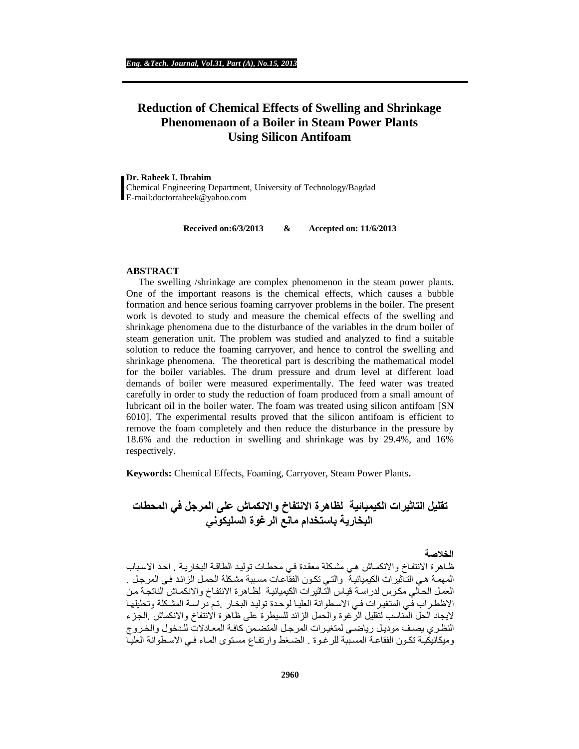# **Reduction of Chemical Effects of Swelling and Shrinkage Phenomenaon of a Boiler in Steam Power Plants Using Silicon Antifoam**

**Dr. Raheek I. Ibrahim** Chemical Engineering Department, University of Technology/Bagdad E-mail:[doctorraheek@yahoo.com](mailto:octorraheek@yahoo.com)

**Received on:6/3/2013 & Accepted on: 11/6/2013**

#### **ABSTRACT**

The swelling /shrinkage are complex phenomenon in the steam power plants. One of the important reasons is the chemical effects, which causes a bubble formation and hence serious foaming carryover problems in the boiler. The present work is devoted to study and measure the chemical effects of the swelling and shrinkage phenomena due to the disturbance of the variables in the drum boiler of steam generation unit. The problem was studied and analyzed to find a suitable solution to reduce the foaming carryover, and hence to control the swelling and shrinkage phenomena. The theoretical part is describing the mathematical model for the boiler variables. The drum pressure and drum level at different load demands of boiler were measured experimentally. The feed water was treated carefully in order to study the reduction of foam produced from a small amount of lubricant oil in the boiler water. The foam was treated using silicon antifoam [SN 6010]. The experimental results proved that the silicon antifoam is efficient to remove the foam completely and then reduce the disturbance in the pressure by 18.6% and the reduction in swelling and shrinkage was by 29.4%, and 16% respectively.

**Keywords:** Chemical Effects, Foaming, Carryover, Steam Power Plants**.**

# **تقلیل التاثیرات الكیمیائیة لظاھرة الانتفاخ والانكماش على المرجل في المحطات البخاریة باستخدام مانع الرغوة السلیكوني**

#### **الخلاصة**

ظـاهرة الانتفاخ والانكمـاش هـي مشكلة معقدة فـي محطـات توليد الطاقـة البخاريـة . احد الاسباب المهمـة هـي التـّاثير ات الكيميائيـة ۖ والتـي تكـون الفقّاعـات مسببة مشـكلة الحمـل الزائد فـي المرجـل . العمل الحالي مكرس لدراسة قياس التاثيرات الكيميائية لظـاهرة الانتفاخ والانكمـاش الناتجـة من الاظطراب في المتغیرات في الاسطوانة العلیا لوحدة تولید البخار .تم دراسة المشكلة وتحلیلها لایجاد الحل المناسب لتقلیل الرغوة والحمل الزائد للسیطرة على ظاھرة الانتفاخ والانكماش .الج زء النظري يصف موديل رياضي لمتغيرات المرجل المتضمن كافة المعادلات للدخول والخروج ومیكانیكیـة تكـون الفقاعـة المسـببة للر غـو ة . الضـغط و ار تفـاع مسـتوى المـاء فـي الاسـطو انـة العلیــا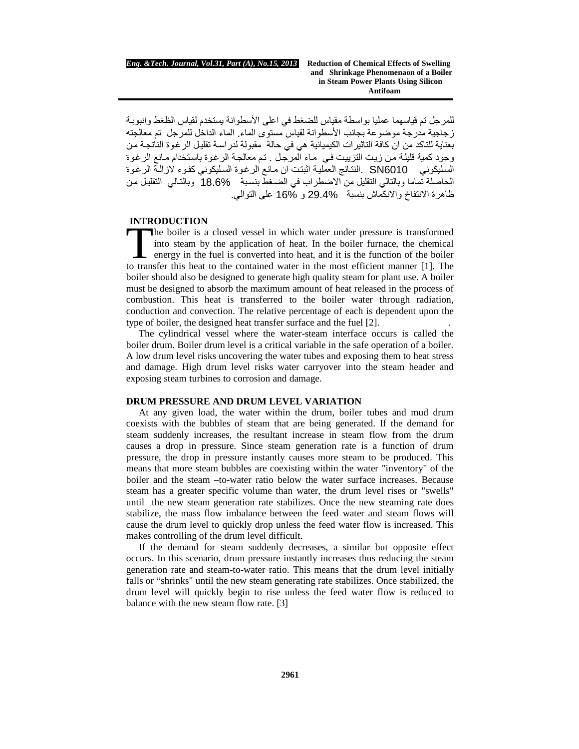للمرجل تم قیاسھما عملیا بواسطة مقیاس للضغط في اعلى الأسطوانة یستخدم لقیاس الظغط وانبوب ة زجاجیة مدرجة موضوعة بجانب الأسطوانة لقیاس مستوى الماء. الماء الداخل للمرجل تم معالجتھ بعنایة للتاكد من ان كافة التاثیرات الكیمیائیة هي في حالة مقبولة لدراسة تقلیل الرغوة الناتجـة من وجود كمية قليلة من زيت التزييت في مـاء المرجل . تم معالجة الرغوة باستخدام مـانع الرغوة السليكوني SN6010 النتـائج العمليـة اثبتت ان مـانع الرغـوة السليكونـي كفـوء لازالـة الرغـوة الحاصلة تماما وبالتالي التقلیل من الاضطراب في الضغطّ بنسبة 18.6% وبالتـالـي التقلیل من ظاھرة الانتفاخ والانكماش بنسبة 29.4% و 16% على التوالي.

# **INTRODUCTION**

he boiler is a closed vessel in which water under pressure is transformed into steam by the application of heat. In the boiler furnace, the chemical energy in the fuel is converted into heat, and it is the function of the boiler The boiler is a closed vessel in which water under pressure is transformed<br>into steam by the application of heat. In the boiler furnace, the chemical<br>energy in the fuel is converted into heat, and it is the function of the boiler should also be designed to generate high quality steam for plant use. A boiler must be designed to absorb the maximum amount of heat released in the process of combustion. This heat is transferred to the boiler water through radiation, conduction and convection. The relative percentage of each is dependent upon the type of boiler, the designed heat transfer surface and the fuel [2]. .

The cylindrical vessel where the water-steam interface occurs is called the boiler drum. Boiler drum level is a critical variable in the safe operation of a boiler. A low drum level risks uncovering the water tubes and exposing them to heat stress and damage. High drum level risks water carryover into the steam header and exposing steam turbines to corrosion and damage.

### **DRUM PRESSURE AND DRUM LEVEL VARIATION**

At any given load, the water within the drum, boiler tubes and mud drum coexists with the bubbles of steam that are being generated. If the demand for steam suddenly increases, the resultant increase in steam flow from the drum causes a drop in pressure. Since steam generation rate is a function of drum pressure, the drop in pressure instantly causes more steam to be produced. This means that more steam bubbles are coexisting within the water "inventory" of the boiler and the steam –to-water ratio below the water surface increases. Because steam has a greater specific volume than water, the drum level rises or "swells" until the new steam generation rate stabilizes. Once the new steaming rate does stabilize, the mass flow imbalance between the feed water and steam flows will cause the drum level to quickly drop unless the feed water flow is increased. This makes controlling of the drum level difficult.

If the demand for steam suddenly decreases, a similar but opposite effect occurs. In this scenario, drum pressure instantly increases thus reducing the steam generation rate and steam-to-water ratio. This means that the drum level initially falls or "shrinks" until the new steam generating rate stabilizes. Once stabilized, the drum level will quickly begin to rise unless the feed water flow is reduced to balance with the new steam flow rate. [3]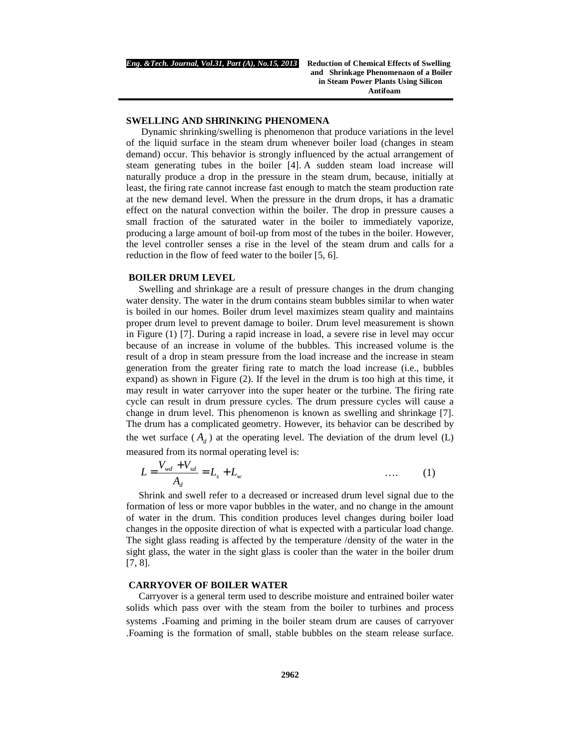# **SWELLING AND SHRINKING PHENOMENA**

Dynamic shrinking/swelling is phenomenon that produce variations in the level of the liquid surface in the steam drum whenever boiler load (changes in steam demand) occur. This behavior is strongly influenced by the actual arrangement of steam generating tubes in the boiler [4]. A sudden steam load increase will naturally produce a drop in the pressure in the steam drum, because, initially at least, the firing rate cannot increase fast enough to match the steam production rate at the new demand level. When the pressure in the drum drops, it has a dramatic effect on the natural convection within the boiler. The drop in pressure causes a small fraction of the saturated water in the boiler to immediately vaporize, producing a large amount of boil-up from most of the tubes in the boiler. However, the level controller senses a rise in the level of the steam drum and calls for a reduction in the flow of feed water to the boiler [5, 6].

#### **BOILER DRUM LEVEL**

Swelling and shrinkage are a result of pressure changes in the drum changing water density. The water in the drum contains steam bubbles similar to when water is boiled in our homes. Boiler drum level maximizes steam quality and maintains proper drum level to prevent damage to boiler. Drum level measurement is shown in Figure (1) [7]. During a rapid increase in load, a severe rise in level may occur because of an increase in volume of the bubbles. This increased volume is the result of a drop in steam pressure from the load increase and the increase in steam generation from the greater firing rate to match the load increase (i.e., bubbles expand) as shown in Figure (2). If the level in the drum is too high at this time, it may result in water carryover into the super heater or the turbine. The firing rate cycle can result in drum pressure cycles. The drum pressure cycles will cause a change in drum level. This phenomenon is known as swelling and shrinkage [7]. The drum has a complicated geometry. However, its behavior can be described by the wet surface  $(A_d)$  at the operating level. The deviation of the drum level (L) measured from its normal operating level is:

$$
L = \frac{V_{wd} + V_{sd}}{A_d} = L_s + L_w \tag{1}
$$

Shrink and swell refer to a decreased or increased drum level signal due to the formation of less or more vapor bubbles in the water, and no change in the amount of water in the drum. This condition produces level changes during boiler load changes in the opposite direction of what is expected with a particular load change. The sight glass reading is affected by the temperature /density of the water in the sight glass, the water in the sight glass is cooler than the water in the boiler drum [7, 8].

### **CARRYOVER OF BOILER WATER**

Carryover is a general term used to describe moisture and entrained boiler water solids which pass over with the steam from the boiler to turbines and process systems .Foaming and priming in the boiler steam drum are causes of carryover .Foaming is the formation of small, stable bubbles on the steam release surface.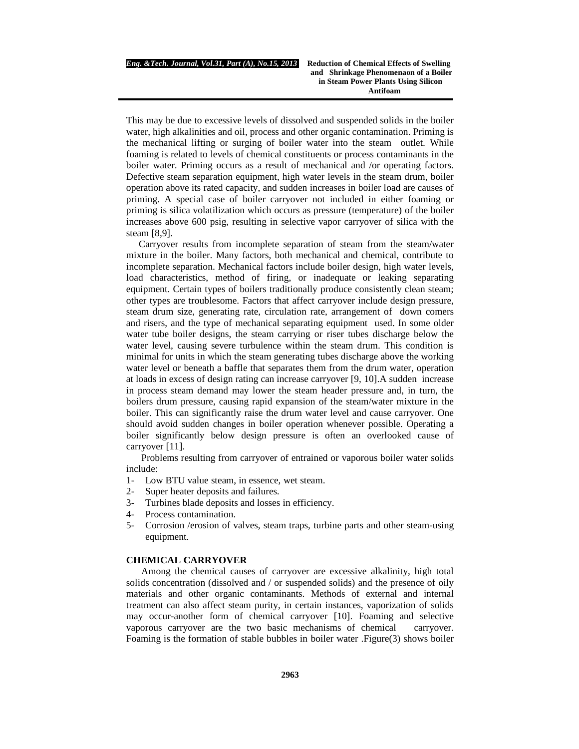This may be due to excessive levels of dissolved and suspended solids in the boiler water, high alkalinities and oil, process and other organic contamination. Priming is the mechanical lifting or surging of boiler water into the steam outlet. While foaming is related to levels of chemical constituents or process contaminants in the boiler water. Priming occurs as a result of mechanical and /or operating factors. Defective steam separation equipment, high water levels in the steam drum, boiler operation above its rated capacity, and sudden increases in boiler load are causes of priming. A special case of boiler carryover not included in either foaming or priming is silica volatilization which occurs as pressure (temperature) of the boiler increases above 600 psig, resulting in selective vapor carryover of silica with the steam [8,9].

Carryover results from incomplete separation of steam from the steam/water mixture in the boiler. Many factors, both mechanical and chemical, contribute to incomplete separation. Mechanical factors include boiler design, high water levels, load characteristics, method of firing, or inadequate or leaking separating equipment. Certain types of boilers traditionally produce consistently clean steam; other types are troublesome. Factors that affect carryover include design pressure, steam drum size, generating rate, circulation rate, arrangement of down comers and risers, and the type of mechanical separating equipment used. In some older water tube boiler designs, the steam carrying or riser tubes discharge below the water level, causing severe turbulence within the steam drum. This condition is minimal for units in which the steam generating tubes discharge above the working water level or beneath a baffle that separates them from the drum water, operation at loads in excess of design rating can increase carryover [9, 10].A sudden increase in process steam demand may lower the steam header pressure and, in turn, the boilers drum pressure, causing rapid expansion of the steam/water mixture in the boiler. This can significantly raise the drum water level and cause carryover. One should avoid sudden changes in boiler operation whenever possible. Operating a boiler significantly below design pressure is often an overlooked cause of carryover [11].

Problems resulting from carryover of entrained or vaporous boiler water solids include:

- 1- Low BTU value steam, in essence, wet steam.
- 2- Super heater deposits and failures.
- 3- Turbines blade deposits and losses in efficiency.
- 4- Process contamination.
- 5- Corrosion /erosion of valves, steam traps, turbine parts and other steam-using equipment.

# **CHEMICAL CARRYOVER**

Among the chemical causes of carryover are excessive alkalinity, high total solids concentration (dissolved and / or suspended solids) and the presence of oily materials and other organic contaminants. Methods of external and internal treatment can also affect steam purity, in certain instances, vaporization of solids may occur-another form of chemical carryover [10]. Foaming and selective vaporous carryover are the two basic mechanisms of chemical carryover. Foaming is the formation of stable bubbles in boiler water .Figure(3) shows boiler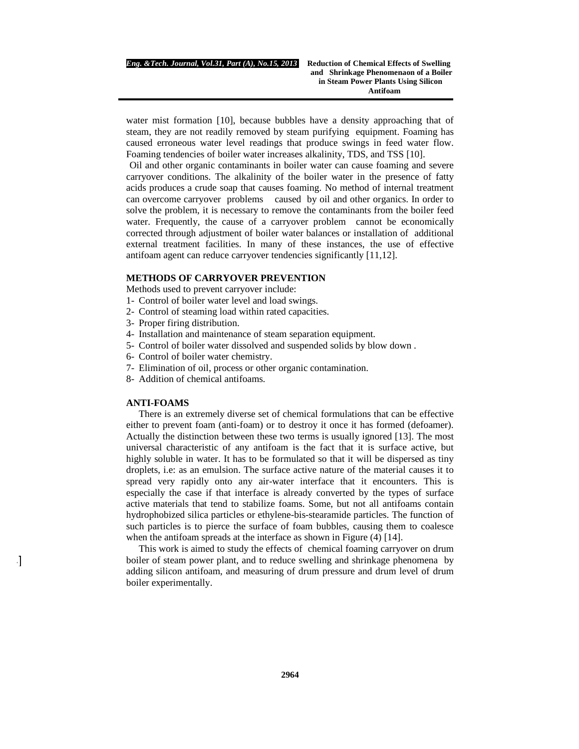water mist formation [10], because bubbles have a density approaching that of steam, they are not readily removed by steam purifying equipment. Foaming has caused erroneous water level readings that produce swings in feed water flow. Foaming tendencies of boiler water increases alkalinity, TDS, and TSS [10].

Oil and other organic contaminants in boiler water can cause foaming and severe carryover conditions. The alkalinity of the boiler water in the presence of fatty acids produces a crude soap that causes foaming. No method of internal treatment can overcome carryover problems caused by oil and other organics. In order to solve the problem, it is necessary to remove the contaminants from the boiler feed water. Frequently, the cause of a carryover problem cannot be economically corrected through adjustment of boiler water balances or installation of additional external treatment facilities. In many of these instances, the use of effective antifoam agent can reduce carryover tendencies significantly [11,12].

#### **METHODS OF CARRYOVER PREVENTION**

Methods used to prevent carryover include:

- 1- Control of boiler water level and load swings.
- 2- Control of steaming load within rated capacities.
- 3- Proper firing distribution.
- 4- Installation and maintenance of steam separation equipment.
- 5- Control of boiler water dissolved and suspended solids by blow down .
- 6- Control of boiler water chemistry.
- 7- Elimination of oil, process or other organic contamination.
- 8- Addition of chemical antifoams.

# **ANTI-FOAMS**

 $\sim$   $\sim$   $\sim$ 

There is an extremely diverse set of chemical formulations that can be effective either to prevent foam (anti-foam) or to destroy it once it has formed (defoamer). Actually the distinction between these two terms is usually ignored [13]. The most universal characteristic of any antifoam is the fact that it is surface active, but highly soluble in water. It has to be formulated so that it will be dispersed as tiny droplets, i.e: as an emulsion. The surface active nature of the material causes it to spread very rapidly onto any air-water interface that it encounters. This is especially the case if that interface is already converted by the types of surface active materials that tend to stabilize foams. Some, but not all antifoams contain hydrophobized silica particles or ethylene-bis-stearamide particles. The function of such particles is to pierce the surface of foam bubbles, causing them to coalesce when the antifoam spreads at the interface as shown in Figure  $(4)$  [14].

This work is aimed to study the effects of chemical foaming carryover on drum boiler of steam power plant, and to reduce swelling and shrinkage phenomena by adding silicon antifoam, and measuring of drum pressure and drum level of drum boiler experimentally.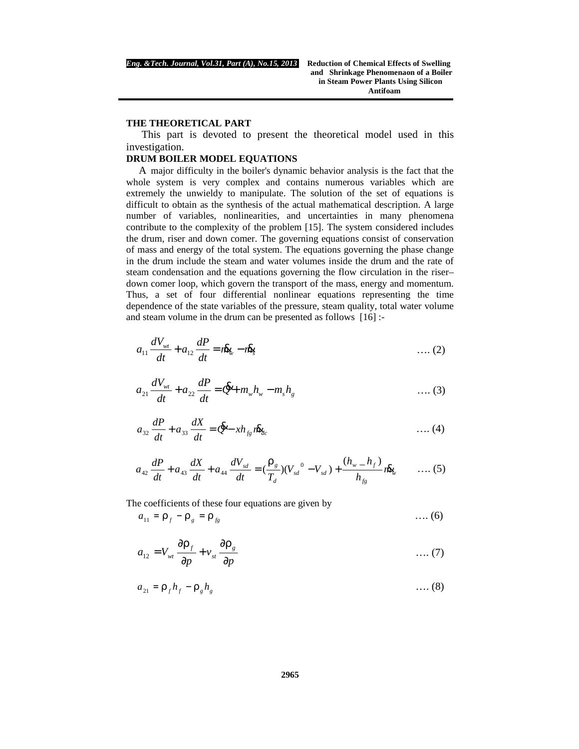#### **THE THEORETICAL PART**

This part is devoted to present the theoretical model used in this investigation.

#### **DRUM BOILER MODEL EQUATIONS**

A major difficulty in the boiler's dynamic behavior analysis is the fact that the whole system is very complex and contains numerous variables which are extremely the unwieldy to manipulate. The solution of the set of equations is difficult to obtain as the synthesis of the actual mathematical description. A large number of variables, nonlinearities, and uncertainties in many phenomena contribute to the complexity of the problem [15]. The system considered includes the drum, riser and down comer. The governing equations consist of conservation of mass and energy of the total system. The equations governing the phase change in the drum include the steam and water volumes inside the drum and the rate of steam condensation and the equations governing the flow circulation in the riser– down comer loop, which govern the transport of the mass, energy and momentum. Thus, a set of four differential nonlinear equations representing the time dependence of the state variables of the pressure, steam quality, total water volume and steam volume in the drum can be presented as follows [16] :-

$$
a_{11}\frac{dV_{wt}}{dt} + a_{12}\frac{dP}{dt} = i\mathbf{R}_{\mathbf{y}} - i\mathbf{R}_{\mathbf{y}} \tag{2}
$$

*w w s g wt Q m h m h dt dP a dt dV a* + = + − & 21 22 …. (3)

$$
a_{32}\frac{dP}{dt} + a_{33}\frac{dX}{dt} = \mathbf{\mathscr{L}} - xh_{fg}\mathbf{R}_{dc}
$$
...(4)

$$
a_{42}\frac{dP}{dt} + a_{43}\frac{dX}{dt} + a_{44}\frac{dV_{sd}}{dt} = \left(\frac{r_g}{T_d}\right)\left(V_{sd}^0 - V_{sd}\right) + \frac{\left(h_w - h_f\right)}{h_{fg}}r\& \qquad \dots (5)
$$

The coefficients of these four equations are given by

$$
a_{11} = r_f - r_g = r_{fg} \tag{6}
$$

*p v p a V g st f wt* ∂ ∂ + ∂ ∂ = *r r* 12 …. (7)

$$
a_{21} = r_f h_f - r_g h_g \tag{8}
$$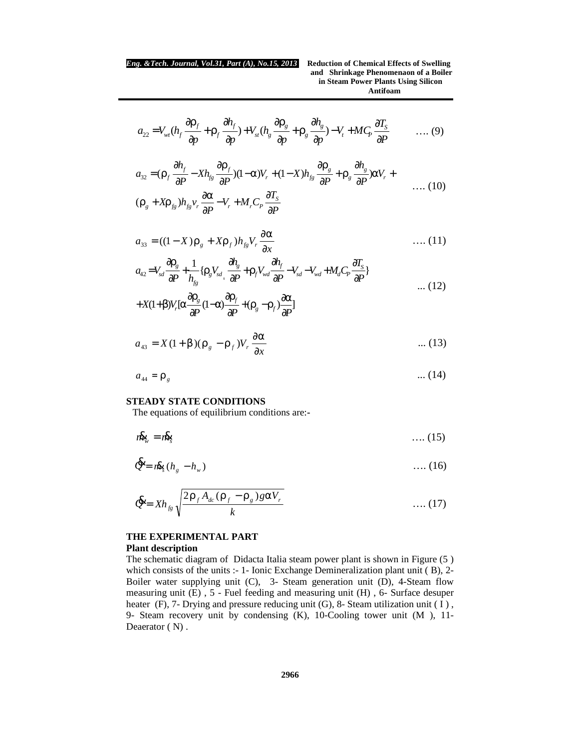$$
a_{22} = V_{wt}(h_f \frac{\partial r_f}{\partial p} + r_f \frac{\partial h_f}{\partial p}) + V_{st}(h_g \frac{\partial r_g}{\partial p} + r_g \frac{\partial h_g}{\partial p}) - V_t + MC_p \frac{\partial T_s}{\partial p} \qquad \dots (9)
$$

$$
a_{32} = (r_f \frac{\partial h_f}{\partial P} - X h_{fg} \frac{\partial r_f}{\partial P}) (1 - a)V_r + (1 - X) h_{fg} \frac{\partial r_g}{\partial P} + r_g \frac{\partial h_g}{\partial P}) aV_r + \dots
$$
  

$$
(r_g + X r_{fg}) h_{fg} v_r \frac{\partial a}{\partial P} - V_r + M_r C_p \frac{\partial T_g}{\partial P}
$$
 (10)

$$
a_{33} = ((1 - X)r_s + Xr_f)h_{fg}V_r \frac{\partial a}{\partial x} \qquad \qquad \dots (11)
$$

$$
a_{42} = V_{sd} \frac{\partial r_s}{\partial P} + \frac{1}{h_{fg}} \{r_s V_{sd} \frac{\partial h_s}{\partial P} + r_f V_{wd} \frac{\partial h_f}{\partial P} - V_{sd} - V_{wd} + M_d C_p \frac{\partial T_s}{\partial P} \}
$$
...(12)

$$
+X(1+b)V_r[a\frac{\partial r_s}{\partial P}(1-a)\frac{\partial r_f}{\partial P}+(r_s-r_f)\frac{\partial a}{\partial P}]
$$

$$
a_{43} = X(1+b)(r_g - r_f)V_r \frac{\partial a}{\partial x}
$$
 ... (13)

$$
a_{44} = r_g \tag{14}
$$

# **STEADY STATE CONDITIONS**

The equations of equilibrium conditions are:**-**

$$
i\mathbf{R}_{\mu} = i\mathbf{R}_{\mathbf{S}} \tag{15}
$$

$$
\mathbf{\hat{E}} = n\mathbf{\hat{k}}_{s}(h_{g} - h_{w}) \tag{16}
$$

$$
\mathbf{\mathcal{L}} = Xh_{fg} \sqrt{\frac{2\,\mathbf{r}_f A_{dc}(\mathbf{r}_f - \mathbf{r}_g) g \, a V_r}{k}} \qquad \qquad \dots (17)
$$

# **THE EXPERIMENTAL PART Plant description**

The schematic diagram of Didacta Italia steam power plant is shown in Figure (5 ) which consists of the units :- 1- Ionic Exchange Demineralization plant unit ( B), 2- Boiler water supplying unit (C), 3- Steam generation unit (D), 4-Steam flow measuring unit (E) , 5 - Fuel feeding and measuring unit (H) , 6- Surface desuper heater (F), 7- Drying and pressure reducing unit (G), 8- Steam utilization unit (I), 9- Steam recovery unit by condensing (K), 10-Cooling tower unit (M ), 11- Deaerator  $(N)$ .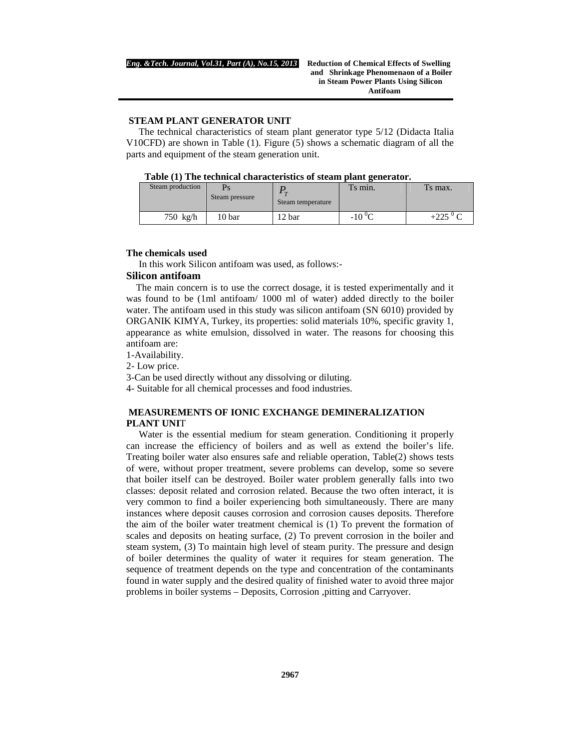# **STEAM PLANT GENERATOR UNIT**

The technical characteristics of steam plant generator type 5/12 (Didacta Italia V10CFD) are shown in Table (1). Figure (5) shows a schematic diagram of all the parts and equipment of the steam generation unit.

| Steam production | Steam pressure | $\sqrt{ }$<br>Steam temperature | Ts min. | Ts max. |
|------------------|----------------|---------------------------------|---------|---------|
| 750 kg/h         | 10 bar         | 2 bar                           | $-10$   |         |

#### **The chemicals used**

In this work Silicon antifoam was used, as follows:-

# **Silicon antifoam**

 The main concern is to use the correct dosage, it is tested experimentally and it was found to be (1ml antifoam/ 1000 ml of water) added directly to the boiler water. The antifoam used in this study was silicon antifoam (SN 6010) provided by ORGANIK KIMYA, Turkey, its properties: solid materials 10%, specific gravity 1, appearance as white emulsion, dissolved in water. The reasons for choosing this antifoam are:

1-Availability.

2- Low price.

3-Can be used directly without any dissolving or diluting.

4- Suitable for all chemical processes and food industries.

# **MEASUREMENTS OF IONIC EXCHANGE DEMINERALIZATION PLANT UNI**T

Water is the essential medium for steam generation. Conditioning it properly can increase the efficiency of boilers and as well as extend the boiler's life. Treating boiler water also ensures safe and reliable operation, Table(2) shows tests of were, without proper treatment, severe problems can develop, some so severe that boiler itself can be destroyed. Boiler water problem generally falls into two classes: deposit related and corrosion related. Because the two often interact, it is very common to find a boiler experiencing both simultaneously. There are many instances where deposit causes corrosion and corrosion causes deposits. Therefore the aim of the boiler water treatment chemical is (1) To prevent the formation of scales and deposits on heating surface, (2) To prevent corrosion in the boiler and steam system, (3) To maintain high level of steam purity. The pressure and design of boiler determines the quality of water it requires for steam generation. The sequence of treatment depends on the type and concentration of the contaminants found in water supply and the desired quality of finished water to avoid three major problems in boiler systems – Deposits, Corrosion ,pitting and Carryover.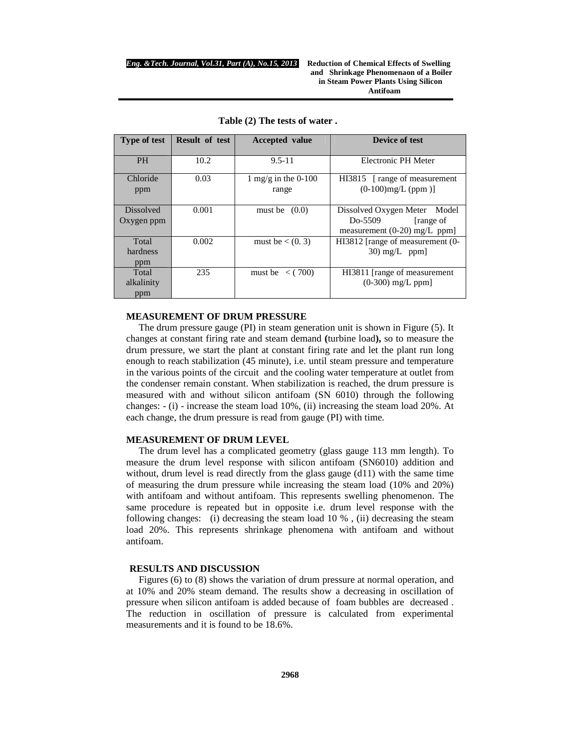**and****Shrinkage Phenomenaon of a Boiler in Steam Power Plants Using Silicon Antifoam**

| <b>Type of test</b>            | <b>Result of test</b> | <b>Accepted</b> value        | Device of test                                                                             |
|--------------------------------|-----------------------|------------------------------|--------------------------------------------------------------------------------------------|
| <b>PH</b>                      | 10.2                  | $9.5 - 11$                   | <b>Electronic PH Meter</b>                                                                 |
| Chloride<br>ppm                | 0.03                  | 1 mg/g in the 0-100<br>range | HI3815 [range of measurement<br>$(0-100)$ mg/L (ppm)]                                      |
| <b>Dissolved</b><br>Oxygen ppm | 0.001                 | must be $(0.0)$              | Dissolved Oxygen Meter<br>Model<br>Do-5509<br>[range of]<br>measurement $(0-20)$ mg/L ppm] |
| Total<br>hardness<br>ppm       | 0.002                 | must be $\lt$ (0. 3)         | HI3812 [range of measurement (0-<br>$30 \text{ mg/L}$ ppm                                  |
| Total<br>alkalinity<br>ppm     | 235                   | must be $\lt$ (700)          | HI3811 [range of measurement]<br>$(0-300)$ mg/L ppm]                                       |

**Table (2) The tests of water .**

# **MEASUREMENT OF DRUM PRESSURE**

The drum pressure gauge (PI) in steam generation unit is shown in Figure (5). It changes at constant firing rate and steam demand **(**turbine load**),** so to measure the drum pressure, we start the plant at constant firing rate and let the plant run long enough to reach stabilization (45 minute), i.e. until steam pressure and temperature in the various points of the circuit and the cooling water temperature at outlet from the condenser remain constant. When stabilization is reached, the drum pressure is measured with and without silicon antifoam (SN 6010) through the following changes: - (i) - increase the steam load 10%, (ii) increasing the steam load 20%. At each change, the drum pressure is read from gauge (PI) with time.

#### **MEASUREMENT OF DRUM LEVEL**

The drum level has a complicated geometry (glass gauge 113 mm length). To measure the drum level response with silicon antifoam (SN6010) addition and without, drum level is read directly from the glass gauge (d11) with the same time of measuring the drum pressure while increasing the steam load (10% and 20%) with antifoam and without antifoam. This represents swelling phenomenon. The same procedure is repeated but in opposite i.e. drum level response with the following changes: (i) decreasing the steam load 10 % , (ii) decreasing the steam load 20%. This represents shrinkage phenomena with antifoam and without antifoam.

#### **RESULTS AND DISCUSSION**

Figures (6) to (8) shows the variation of drum pressure at normal operation, and at 10% and 20% steam demand. The results show a decreasing in oscillation of pressure when silicon antifoam is added because of foam bubbles are decreased . The reduction in oscillation of pressure is calculated from experimental measurements and it is found to be 18.6%.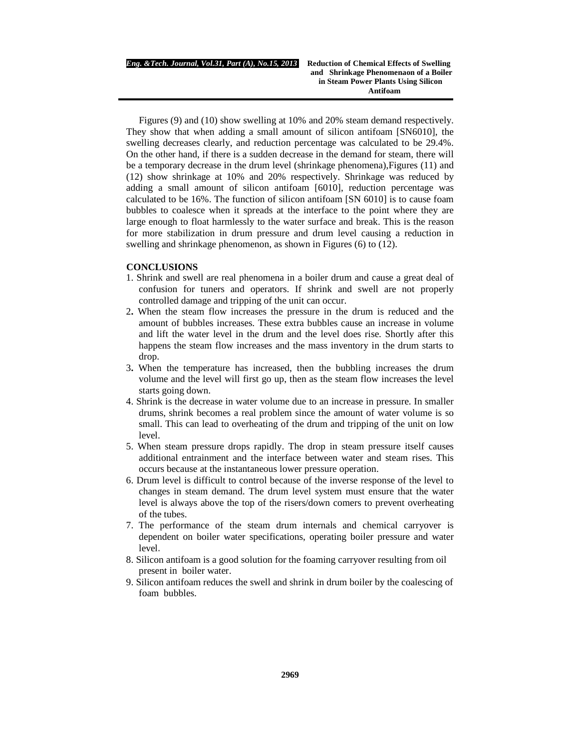Figures (9) and (10) show swelling at 10% and 20% steam demand respectively. They show that when adding a small amount of silicon antifoam [SN6010], the swelling decreases clearly, and reduction percentage was calculated to be 29.4%. On the other hand, if there is a sudden decrease in the demand for steam, there will be a temporary decrease in the drum level (shrinkage phenomena),Figures (11) and (12) show shrinkage at 10% and 20% respectively. Shrinkage was reduced by adding a small amount of silicon antifoam [6010], reduction percentage was calculated to be 16%. The function of silicon antifoam [SN 6010] is to cause foam bubbles to coalesce when it spreads at the interface to the point where they are large enough to float harmlessly to the water surface and break. This is the reason for more stabilization in drum pressure and drum level causing a reduction in swelling and shrinkage phenomenon, as shown in Figures (6) to (12).

#### **CONCLUSIONS**

- 1. Shrink and swell are real phenomena in a boiler drum and cause a great deal of confusion for tuners and operators. If shrink and swell are not properly controlled damage and tripping of the unit can occur.
- 2**.** When the steam flow increases the pressure in the drum is reduced and the amount of bubbles increases. These extra bubbles cause an increase in volume and lift the water level in the drum and the level does rise. Shortly after this happens the steam flow increases and the mass inventory in the drum starts to drop.
- 3**.** When the temperature has increased, then the bubbling increases the drum volume and the level will first go up, then as the steam flow increases the level starts going down.
- 4. Shrink is the decrease in water volume due to an increase in pressure. In smaller drums, shrink becomes a real problem since the amount of water volume is so small. This can lead to overheating of the drum and tripping of the unit on low level.
- 5. When steam pressure drops rapidly. The drop in steam pressure itself causes additional entrainment and the interface between water and steam rises. This occurs because at the instantaneous lower pressure operation.
- 6. Drum level is difficult to control because of the inverse response of the level to changes in steam demand. The drum level system must ensure that the water level is always above the top of the risers/down comers to prevent overheating of the tubes.
- 7. The performance of the steam drum internals and chemical carryover is dependent on boiler water specifications, operating boiler pressure and water level.
- 8. Silicon antifoam is a good solution for the foaming carryover resulting from oil present in boiler water.
- 9. Silicon antifoam reduces the swell and shrink in drum boiler by the coalescing of foam bubbles.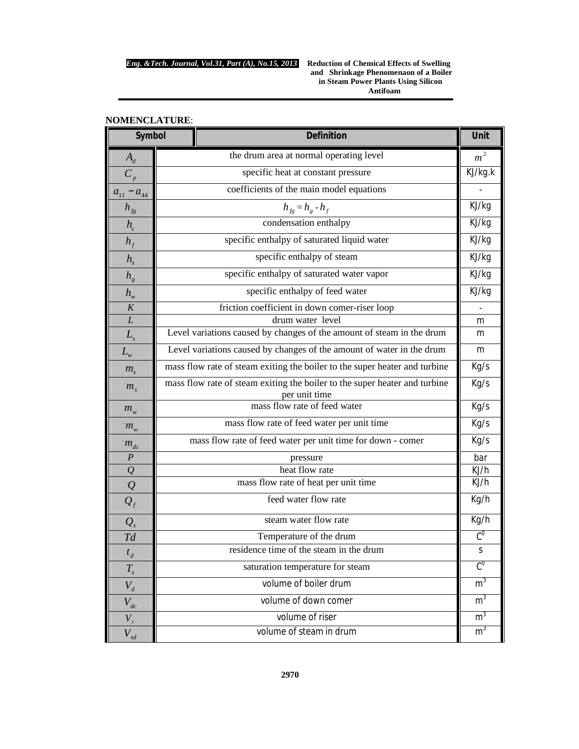**and****Shrinkage Phenomenaon of a Boiler in Steam Power Plants Using Silicon Antifoam**

|                             | <b>Definition</b><br>Symbol                                                                 |                            |
|-----------------------------|---------------------------------------------------------------------------------------------|----------------------------|
| $A_d$                       | the drum area at normal operating level                                                     | m <sup>2</sup>             |
| $\overline{C_p}$            | specific heat at constant pressure                                                          |                            |
| $a_{11}$<br>$-a_{44}$       | coefficients of the main model equations                                                    |                            |
| $h_{fg}$                    | $h_{fg} = h_g - h_f$                                                                        |                            |
| $h_c$                       | condensation enthalpy                                                                       |                            |
| $h_f$                       | specific enthalpy of saturated liquid water                                                 |                            |
| $h_{\rm s}$                 | specific enthalpy of steam                                                                  | KJ/kg                      |
| $h_{g}$                     | specific enthalpy of saturated water vapor                                                  |                            |
| $h_{\scriptscriptstyle{w}}$ | specific enthalpy of feed water                                                             |                            |
| $\cal K$                    | friction coefficient in down comer-riser loop                                               |                            |
| L                           | drum water level                                                                            |                            |
| $L_{\rm s}$                 | Level variations caused by changes of the amount of steam in the drum                       | m                          |
| $L_{\scriptscriptstyle{w}}$ | Level variations caused by changes of the amount of water in the drum                       | m                          |
| $m_{s}$                     | mass flow rate of steam exiting the boiler to the super heater and turbine                  | Kg/s                       |
| $m_s$                       | mass flow rate of steam exiting the boiler to the super heater and turbine<br>per unit time | Kg/s                       |
| $m_{w}$                     | mass flow rate of feed water                                                                | Kg/s                       |
| $m_{w}$                     | mass flow rate of feed water per unit time                                                  | Kg/s                       |
| $m_{dc}$                    | mass flow rate of feed water per unit time for down - comer                                 | Kg/s                       |
| $\boldsymbol{P}$            | pressure                                                                                    |                            |
| $\mathcal{Q}$               | heat flow rate                                                                              | KJ/h                       |
|                             | mass flow rate of heat per unit time                                                        | KJ/h                       |
| $\frac{Q}{Q_f}$             | feed water flow rate                                                                        | Kg/h                       |
| $Q_{s}$                     | steam water flow rate                                                                       | Kg/h                       |
| Td                          | Temperature of the drum                                                                     | $\overline{C}^0$           |
| $t_d$                       | residence time of the steam in the drum                                                     | S                          |
| $T_{\scriptscriptstyle s}$  | saturation temperature for steam                                                            | $\overline{\mathcal{C}}^0$ |
| $V_d$                       | volume of boiler drum                                                                       | m <sup>3</sup>             |
| $V_{dc}$                    | volume of down comer                                                                        |                            |
| $V_r$                       | volume of riser                                                                             | m <sup>3</sup>             |
| $V_{sd}$                    | volume of steam in drum                                                                     | m <sup>3</sup>             |

# **NOMENCLATURE**: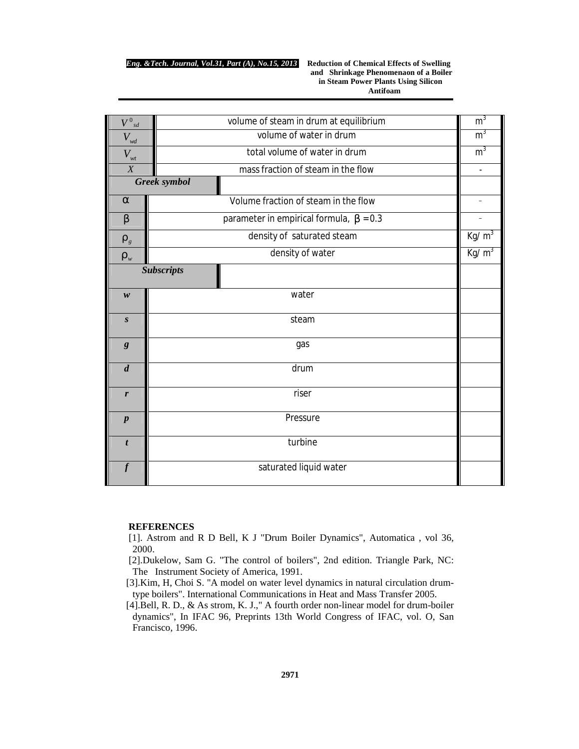**and****Shrinkage Phenomenaon of a Boiler in Steam Power Plants Using Silicon Antifoam**

| $V^0$ sd                        | volume of steam in drum at equilibrium    |           |  |  |  |
|---------------------------------|-------------------------------------------|-----------|--|--|--|
| $V_{\rm wd}$                    | volume of water in drum                   |           |  |  |  |
| $V_{\scriptscriptstyle wt}$     | total volume of water in drum             |           |  |  |  |
| $\boldsymbol{X}$                | mass fraction of steam in the flow        |           |  |  |  |
|                                 | Greek symbol                              |           |  |  |  |
| a                               | Volume fraction of steam in the flow      |           |  |  |  |
| $\boldsymbol{b}$                | parameter in empirical formula, $b = 0.3$ |           |  |  |  |
| $\boldsymbol{r}_{\mathfrak{s}}$ | density of saturated steam                |           |  |  |  |
| $\pmb{\varGamma}_w$             | density of water                          | Kg/ $m^3$ |  |  |  |
| <b>Subscripts</b>               |                                           |           |  |  |  |
| w                               | water                                     |           |  |  |  |
| $\boldsymbol{S}$                | steam                                     |           |  |  |  |
| g                               | gas                                       |           |  |  |  |
| $\boldsymbol{d}$                | drum                                      |           |  |  |  |
| r                               | riser                                     |           |  |  |  |
| $\boldsymbol{p}$                | Pressure                                  |           |  |  |  |
| $\boldsymbol{t}$                | turbine                                   |           |  |  |  |
|                                 | saturated liquid water                    |           |  |  |  |

#### **REFERENCES**

[1]. Astrom and R D Bell, K J "Drum Boiler Dynamics", Automatica , vol 36, 2000.

[2].Dukelow, Sam G. "The control of boilers", 2nd edition. Triangle Park, NC: The Instrument Society of America, 1991.

[3].Kim, H, Choi S. "A model on water level dynamics in natural circulation drumtype boilers". International Communications in Heat and Mass Transfer 2005.

[4].Bell, R. D., & As strom, K. J.," A fourth order non-linear model for drum-boiler dynamics", In IFAC 96, Preprints 13th World Congress of IFAC, vol. O, San Francisco, 1996.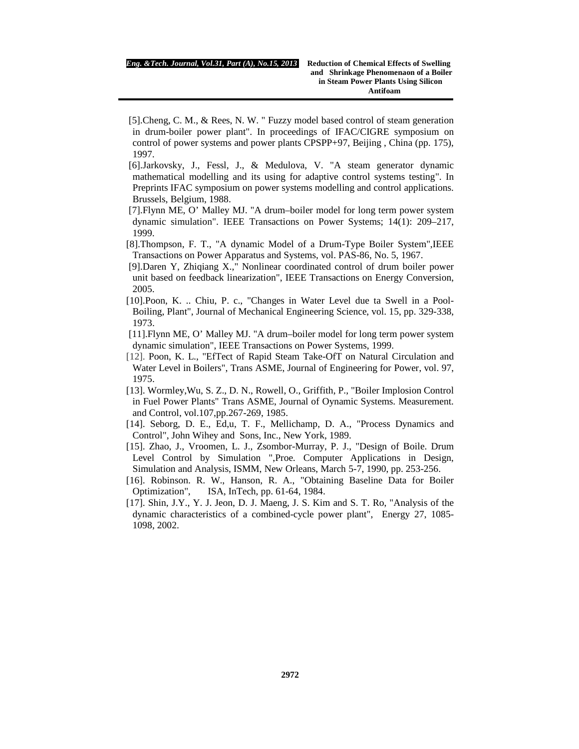- [5].Cheng, C. M., & Rees, N. W. " Fuzzy model based control of steam generation in drum-boiler power plant". In proceedings of IFAC/CIGRE symposium on control of power systems and power plants CPSPP+97, Beijing , China (pp. 175), 1997.
- [6].Jarkovsky, J., Fessl, J., & Medulova, V. "A steam generator dynamic mathematical modelling and its using for adaptive control systems testing". In Preprints IFAC symposium on power systems modelling and control applications. Brussels, Belgium, 1988.
- [7].Flynn ME, O' Malley MJ. "A drum–boiler model for long term power system dynamic simulation". IEEE Transactions on Power Systems; 14(1): 209–217, 1999.
- [8].Thompson, F. T., "A dynamic Model of a Drum-Type Boiler System", IEEE Transactions on Power Apparatus and Systems, vol. PAS-86, No. 5, 1967.
- [9].Daren Y, Zhiqiang X.," Nonlinear coordinated control of drum boiler power unit based on feedback linearization", IEEE Transactions on Energy Conversion, 2005.
- [10].Poon, K. .. Chiu, P. c., "Changes in Water Level due ta Swell in a Pool-Boiling, Plant", Journal of Mechanical Engineering Science, vol. 15, pp. 329-338, 1973.
- [11].Flynn ME, O' Malley MJ. "A drum–boiler model for long term power system dynamic simulation", IEEE Transactions on Power Systems, 1999.
- [12]. Poon, K. L., "EfTect of Rapid Steam Take-OfT on Natural Circulation and Water Level in Boilers", Trans ASME, Journal of Engineering for Power, vol. 97, 1975.
- [13]. Wormley,Wu, S. Z., D. N., Rowell, O., Griffith, P., "Boiler Implosion Control in Fuel Power Plants" Trans ASME, Journal of Oynamic Systems. Measurement. and Control, vol.107,pp.267-269, 1985.
- [14]. Seborg, D. E., Ed,u, T. F., Mellichamp, D. A., "Process Dynamics and Control", John Wihey and Sons, Inc., New York, 1989.
- [15]. Zhao, J., Vroomen, L. J., Zsombor-Murray, P. J., "Design of Boile. Drum Level Control by Simulation ",Proe. Computer Applications in Design, Simulation and Analysis, ISMM, New Orleans, March 5-7, 1990, pp. 253-256.
- [16]. Robinson. R. W., Hanson, R. A., "Obtaining Baseline Data for Boiler Optimization", ISA, InTech, pp. 61-64, 1984.
- [17]. Shin, J.Y., Y. J. Jeon, D. J. Maeng, J. S. Kim and S. T. Ro, "Analysis of the dynamic characteristics of a combined-cycle power plant", Energy 27, 1085- 1098, 2002.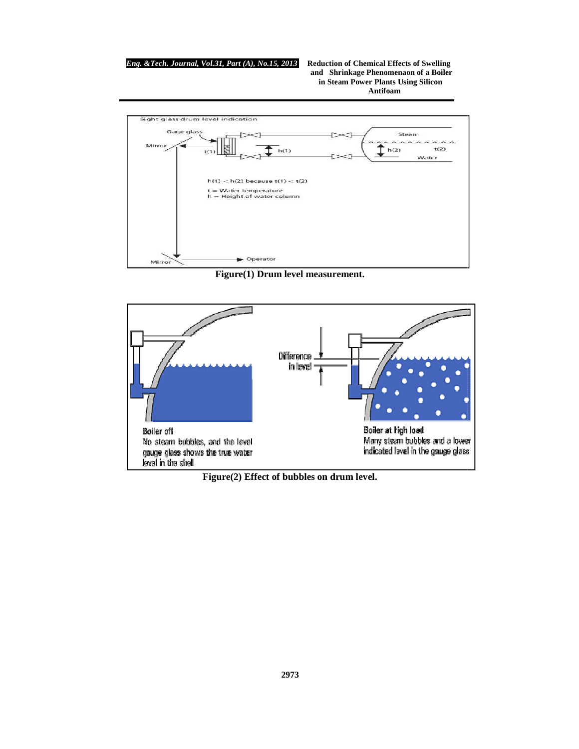#### *Eng. &Tech. Journal, Vol.31, Part (A), No.1*

*, Part (A), No.15, 2013* **Reduction of Chemical Effects of Swelling and****Shrinkage Phenomenaon of a Boiler in Steam Power Plants Using Silicon Antifoam**



**Figure(1) Drum level measurement.**



**Figure(2) Effect of bubbles on drum level.**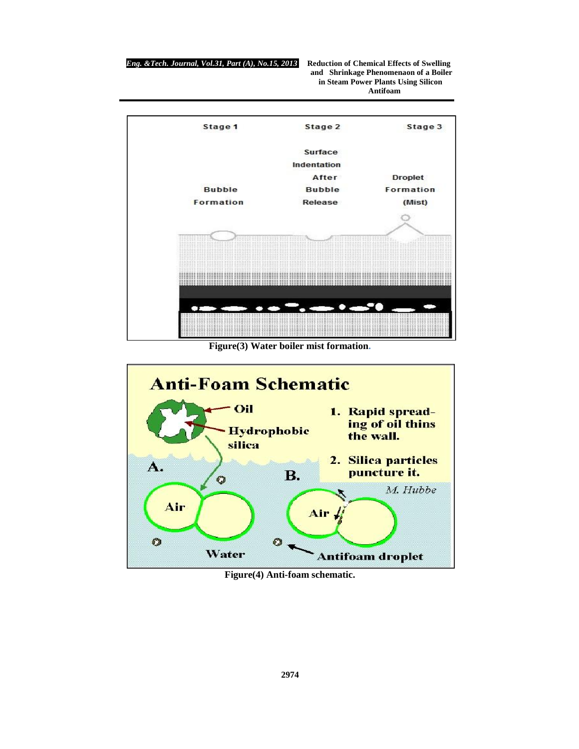

**Figure(3) Water boiler mist formation.**



**Figure(4) Anti-foam schematic.**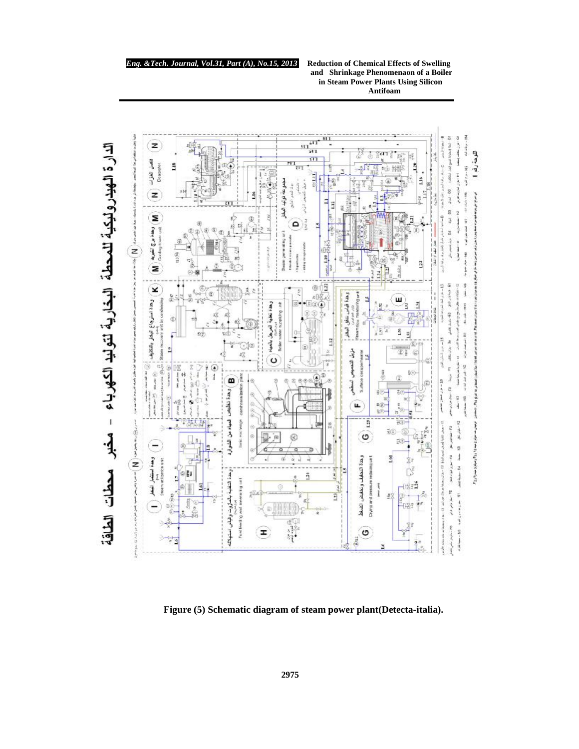#### *Eng. &Tech. Journal, Vol.31, Part (A), No.1*

*, Part (A), No.15, 2013* **Reduction of Chemical Effects of Swelling and****Shrinkage Phenomenaon of a Boiler in Steam Power Plants Using Silicon Antifoam**



**Figure (5) Schematic diagram of steam power plant(Detecta Figure (5) diagram of plant(Detecta-italia).**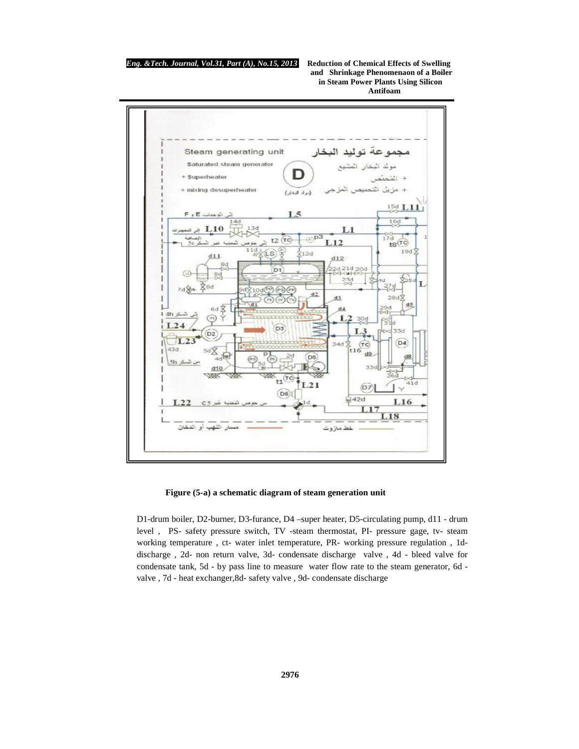**and****Shrinkage Phenomenaon of a Boiler in Steam Power Plants Using Silicon Antifoam**



#### **Figure (5-a) a schematic diagram of steam generation unit**

D1-drum boiler, D2-burner, D3-furance, D4 –super heater, D5-circulating pump, d11 - drum level , PS- safety pressure switch, TV -steam thermostat, PI- pressure gage, tv- steam working temperature , ct- water inlet temperature, PR- working pressure regulation , 1ddischarge , 2d- non return valve, 3d- condensate discharge valve , 4d - bleed valve for condensate tank, 5d - by pass line to measure water flow rate to the steam generator, 6d valve , 7d - heat exchanger,8d- safety valve , 9d- condensate discharge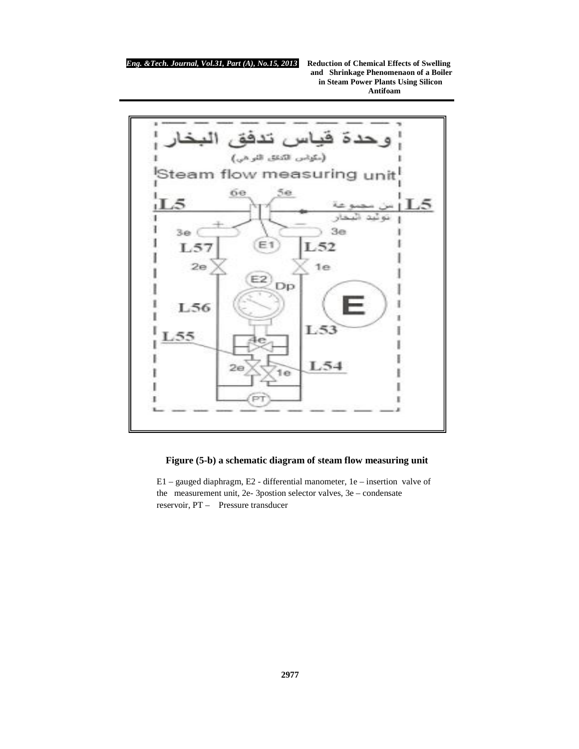**and****Shrinkage Phenomenaon of a Boiler in Steam Power Plants Using Silicon Antifoam**



# **Figure (5-b) a schematic diagram of steam flow measuring unit**

E1 – gauged diaphragm, E2 - differential manometer, 1e – insertion valve of the measurement unit, 2e- 3postion selector valves, 3e – condensate reservoir, PT – Pressure transducer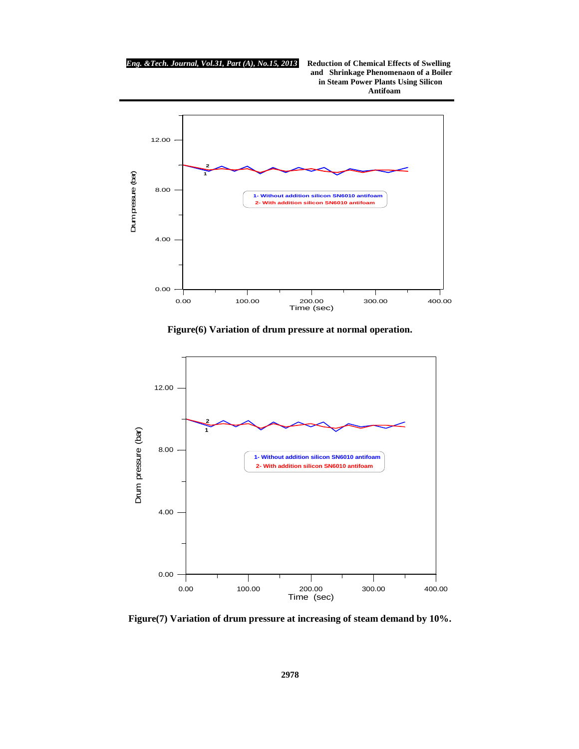*Eng. &Tech. Journal, Vol.31, Part (A), No.15, 2013* **Reduction of Chemical Effects of Swelling and****Shrinkage Phenomenaon of a Boiler in Steam Power Plants Using Silicon Antifoam**



**Figure(6) Variation of drum pressure at normal operation.**



**Figure(7) Variation of drum pressure at increasing of steam demand by 10%.**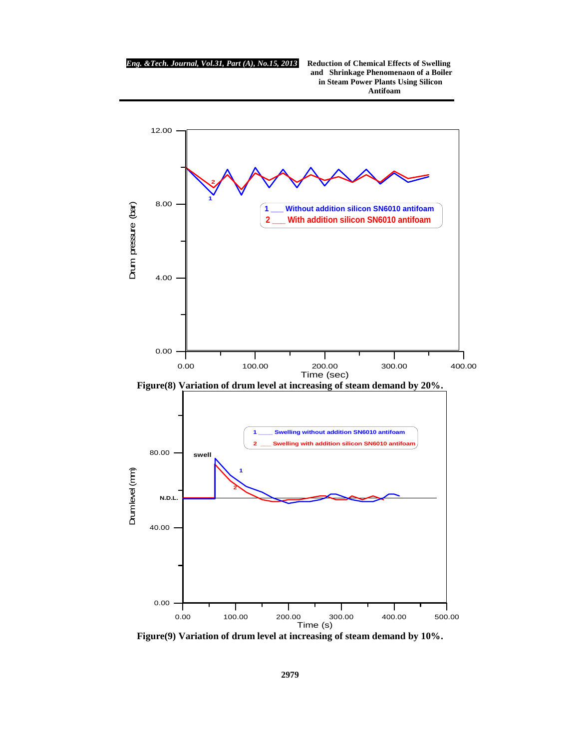

**Figure(9) Variation of drum level at increasing of steam demand by 10%.**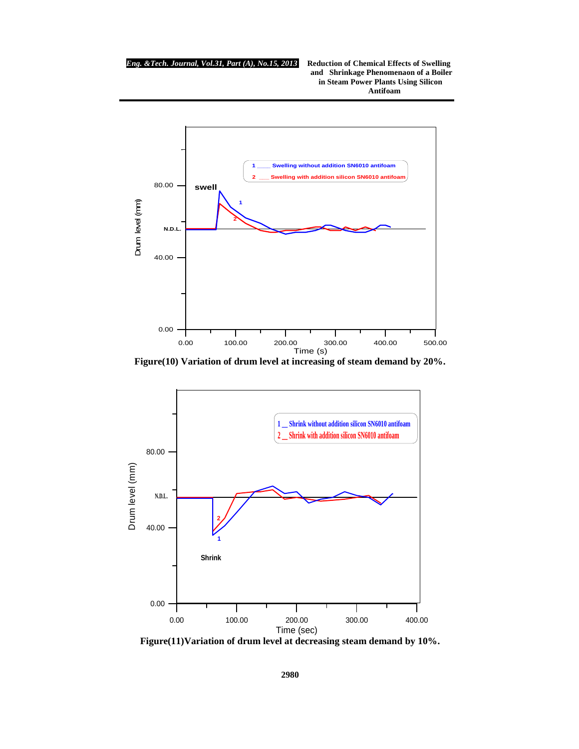

**Figure(10) Variation of drum level at increasing of steam demand by 20%.**



**Figure(11)Variation of drum level at decreasing steam demand by 10%.**